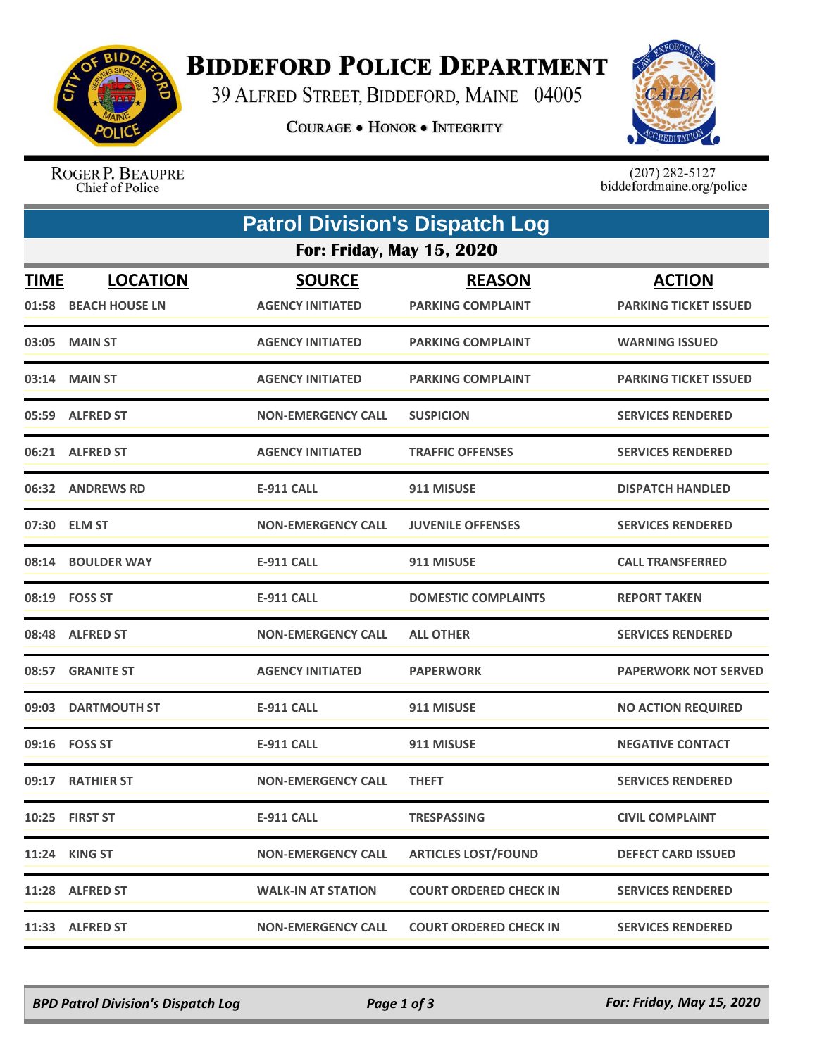

## **BIDDEFORD POLICE DEPARTMENT**

39 ALFRED STREET, BIDDEFORD, MAINE 04005

**COURAGE . HONOR . INTEGRITY** 



ROGER P. BEAUPRE Chief of Police

 $(207)$  282-5127<br>biddefordmaine.org/police

|             | <b>Patrol Division's Dispatch Log</b>   |                                          |                                           |                                               |  |  |  |  |
|-------------|-----------------------------------------|------------------------------------------|-------------------------------------------|-----------------------------------------------|--|--|--|--|
|             | <b>For: Friday, May 15, 2020</b>        |                                          |                                           |                                               |  |  |  |  |
| <b>TIME</b> | <b>LOCATION</b><br>01:58 BEACH HOUSE LN | <b>SOURCE</b><br><b>AGENCY INITIATED</b> | <b>REASON</b><br><b>PARKING COMPLAINT</b> | <b>ACTION</b><br><b>PARKING TICKET ISSUED</b> |  |  |  |  |
|             | 03:05 MAIN ST                           | <b>AGENCY INITIATED</b>                  | <b>PARKING COMPLAINT</b>                  | <b>WARNING ISSUED</b>                         |  |  |  |  |
|             | 03:14 MAIN ST                           | <b>AGENCY INITIATED</b>                  | <b>PARKING COMPLAINT</b>                  | PARKING TICKET ISSUED                         |  |  |  |  |
|             | 05:59 ALFRED ST                         | <b>NON-EMERGENCY CALL</b>                | <b>SUSPICION</b>                          | <b>SERVICES RENDERED</b>                      |  |  |  |  |
|             | 06:21 ALFRED ST                         | <b>AGENCY INITIATED</b>                  | <b>TRAFFIC OFFENSES</b>                   | <b>SERVICES RENDERED</b>                      |  |  |  |  |
|             | 06:32 ANDREWS RD                        | <b>E-911 CALL</b>                        | 911 MISUSE                                | <b>DISPATCH HANDLED</b>                       |  |  |  |  |
|             | 07:30 ELM ST                            | <b>NON-EMERGENCY CALL</b>                | <b>JUVENILE OFFENSES</b>                  | <b>SERVICES RENDERED</b>                      |  |  |  |  |
|             | 08:14 BOULDER WAY                       | <b>E-911 CALL</b>                        | 911 MISUSE                                | <b>CALL TRANSFERRED</b>                       |  |  |  |  |
|             | 08:19 FOSS ST                           | <b>E-911 CALL</b>                        | <b>DOMESTIC COMPLAINTS</b>                | <b>REPORT TAKEN</b>                           |  |  |  |  |
|             | 08:48 ALFRED ST                         | <b>NON-EMERGENCY CALL</b>                | <b>ALL OTHER</b>                          | <b>SERVICES RENDERED</b>                      |  |  |  |  |
|             | 08:57 GRANITE ST                        | <b>AGENCY INITIATED</b>                  | <b>PAPERWORK</b>                          | <b>PAPERWORK NOT SERVED</b>                   |  |  |  |  |
| 09:03       | <b>DARTMOUTH ST</b>                     | <b>E-911 CALL</b>                        | 911 MISUSE                                | <b>NO ACTION REQUIRED</b>                     |  |  |  |  |
|             | 09:16 FOSS ST                           | <b>E-911 CALL</b>                        | 911 MISUSE                                | <b>NEGATIVE CONTACT</b>                       |  |  |  |  |
|             | 09:17 RATHIER ST                        | <b>NON-EMERGENCY CALL</b>                | <b>THEFT</b>                              | <b>SERVICES RENDERED</b>                      |  |  |  |  |
|             | 10:25 FIRST ST                          | <b>E-911 CALL</b>                        | <b>TRESPASSING</b>                        | <b>CIVIL COMPLAINT</b>                        |  |  |  |  |
|             | 11:24 KING ST                           | <b>NON-EMERGENCY CALL</b>                | <b>ARTICLES LOST/FOUND</b>                | <b>DEFECT CARD ISSUED</b>                     |  |  |  |  |
|             | 11:28 ALFRED ST                         | <b>WALK-IN AT STATION</b>                | <b>COURT ORDERED CHECK IN</b>             | <b>SERVICES RENDERED</b>                      |  |  |  |  |
|             | 11:33 ALFRED ST                         | <b>NON-EMERGENCY CALL</b>                | <b>COURT ORDERED CHECK IN</b>             | <b>SERVICES RENDERED</b>                      |  |  |  |  |

*BPD Patrol Division's Dispatch Log Page 1 of 3 For: Friday, May 15, 2020*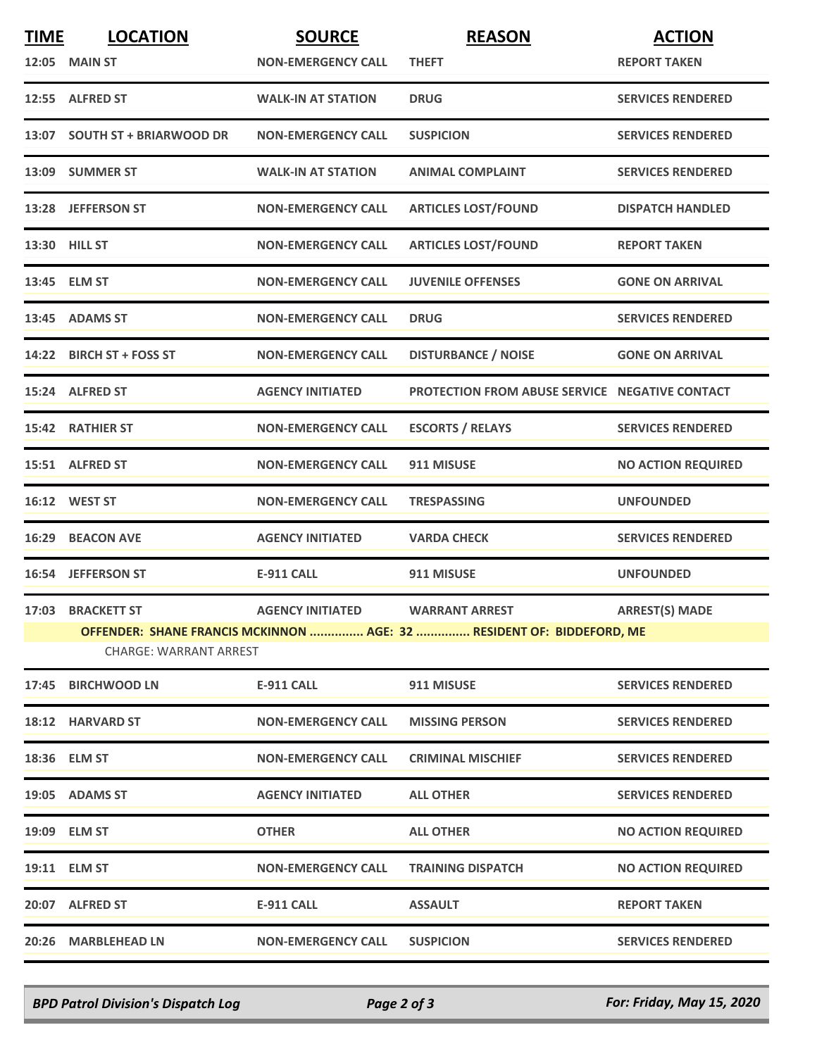| <b>TIME</b> | <b>LOCATION</b>                                                                                        | <b>SOURCE</b>             | <b>REASON</b>                                         | <b>ACTION</b>             |  |  |
|-------------|--------------------------------------------------------------------------------------------------------|---------------------------|-------------------------------------------------------|---------------------------|--|--|
|             | 12:05 MAIN ST                                                                                          | <b>NON-EMERGENCY CALL</b> | <b>THEFT</b>                                          | <b>REPORT TAKEN</b>       |  |  |
|             | 12:55 ALFRED ST                                                                                        | <b>WALK-IN AT STATION</b> | <b>DRUG</b>                                           | <b>SERVICES RENDERED</b>  |  |  |
|             | 13:07 SOUTH ST + BRIARWOOD DR                                                                          | <b>NON-EMERGENCY CALL</b> | <b>SUSPICION</b>                                      | <b>SERVICES RENDERED</b>  |  |  |
|             | 13:09 SUMMER ST                                                                                        | <b>WALK-IN AT STATION</b> | <b>ANIMAL COMPLAINT</b>                               | <b>SERVICES RENDERED</b>  |  |  |
|             | 13:28 JEFFERSON ST                                                                                     | <b>NON-EMERGENCY CALL</b> | <b>ARTICLES LOST/FOUND</b>                            | <b>DISPATCH HANDLED</b>   |  |  |
|             | 13:30 HILL ST                                                                                          | <b>NON-EMERGENCY CALL</b> | <b>ARTICLES LOST/FOUND</b>                            | <b>REPORT TAKEN</b>       |  |  |
|             | 13:45 ELM ST                                                                                           | <b>NON-EMERGENCY CALL</b> | <b>JUVENILE OFFENSES</b>                              | <b>GONE ON ARRIVAL</b>    |  |  |
|             | 13:45 ADAMS ST                                                                                         | <b>NON-EMERGENCY CALL</b> | <b>DRUG</b>                                           | <b>SERVICES RENDERED</b>  |  |  |
|             | 14:22 BIRCH ST + FOSS ST                                                                               | <b>NON-EMERGENCY CALL</b> | <b>DISTURBANCE / NOISE</b>                            | <b>GONE ON ARRIVAL</b>    |  |  |
|             | 15:24 ALFRED ST                                                                                        | <b>AGENCY INITIATED</b>   | <b>PROTECTION FROM ABUSE SERVICE NEGATIVE CONTACT</b> |                           |  |  |
|             | 15:42 RATHIER ST                                                                                       | <b>NON-EMERGENCY CALL</b> | <b>ESCORTS / RELAYS</b>                               | <b>SERVICES RENDERED</b>  |  |  |
|             | 15:51 ALFRED ST                                                                                        | <b>NON-EMERGENCY CALL</b> | 911 MISUSE                                            | <b>NO ACTION REQUIRED</b> |  |  |
|             | 16:12 WEST ST                                                                                          | <b>NON-EMERGENCY CALL</b> | <b>TRESPASSING</b>                                    | <b>UNFOUNDED</b>          |  |  |
| 16:29       | <b>BEACON AVE</b>                                                                                      | <b>AGENCY INITIATED</b>   | <b>VARDA CHECK</b>                                    | <b>SERVICES RENDERED</b>  |  |  |
|             | 16:54 JEFFERSON ST                                                                                     | <b>E-911 CALL</b>         | 911 MISUSE                                            | <b>UNFOUNDED</b>          |  |  |
|             | 17:03 BRACKETT ST                                                                                      | <b>AGENCY INITIATED</b>   | <b>WARRANT ARREST</b>                                 | <b>ARREST(S) MADE</b>     |  |  |
|             | OFFENDER: SHANE FRANCIS MCKINNON  AGE: 32  RESIDENT OF: BIDDEFORD, ME<br><b>CHARGE: WARRANT ARREST</b> |                           |                                                       |                           |  |  |
|             | 17:45 BIRCHWOOD LN                                                                                     | <b>E-911 CALL</b>         | 911 MISUSE                                            | <b>SERVICES RENDERED</b>  |  |  |
|             | 18:12 HARVARD ST                                                                                       | <b>NON-EMERGENCY CALL</b> | <b>MISSING PERSON</b>                                 | <b>SERVICES RENDERED</b>  |  |  |
|             | 18:36 ELM ST                                                                                           | <b>NON-EMERGENCY CALL</b> | <b>CRIMINAL MISCHIEF</b>                              | <b>SERVICES RENDERED</b>  |  |  |
|             | 19:05 ADAMS ST                                                                                         | <b>AGENCY INITIATED</b>   | <b>ALL OTHER</b>                                      | <b>SERVICES RENDERED</b>  |  |  |
|             | 19:09 ELM ST                                                                                           | <b>OTHER</b>              | <b>ALL OTHER</b>                                      | <b>NO ACTION REQUIRED</b> |  |  |
|             | 19:11 ELM ST                                                                                           | <b>NON-EMERGENCY CALL</b> | <b>TRAINING DISPATCH</b>                              | <b>NO ACTION REQUIRED</b> |  |  |
|             | 20:07 ALFRED ST                                                                                        | <b>E-911 CALL</b>         | <b>ASSAULT</b>                                        | <b>REPORT TAKEN</b>       |  |  |
|             | 20:26 MARBLEHEAD LN                                                                                    | <b>NON-EMERGENCY CALL</b> | <b>SUSPICION</b>                                      | <b>SERVICES RENDERED</b>  |  |  |

*BPD Patrol Division's Dispatch Log Page 2 of 3 For: Friday, May 15, 2020*